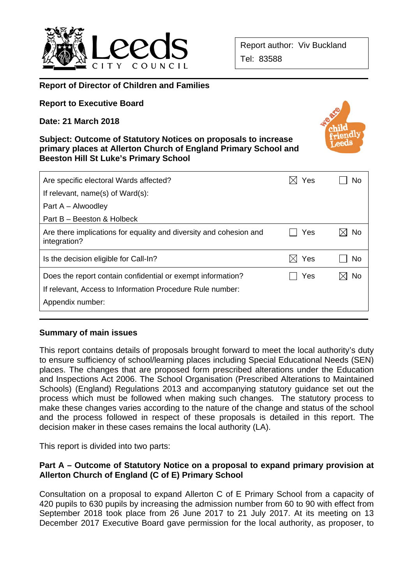

## **Report of Director of Children and Families**

**Report to Executive Board** 

**Date: 21 March 2018** 

#### **Subject: Outcome of Statutory Notices on proposals to increase primary places at Allerton Church of England Primary School and Beeston Hill St Luke's Primary School**



| Are specific electoral Wards affected?                                                                                                       | Yes | No  |
|----------------------------------------------------------------------------------------------------------------------------------------------|-----|-----|
| If relevant, name(s) of Ward(s):                                                                                                             |     |     |
| Part A – Alwoodley                                                                                                                           |     |     |
| Part B – Beeston & Holbeck                                                                                                                   |     |     |
| Are there implications for equality and diversity and cohesion and<br>integration?                                                           | Yes | No  |
| Is the decision eligible for Call-In?                                                                                                        | Yes | No. |
| Does the report contain confidential or exempt information?<br>If relevant, Access to Information Procedure Rule number:<br>Appendix number: | Yes | No  |
|                                                                                                                                              |     |     |

### **Summary of main issues**

This report contains details of proposals brought forward to meet the local authority's duty to ensure sufficiency of school/learning places including Special Educational Needs (SEN) places. The changes that are proposed form prescribed alterations under the Education and Inspections Act 2006. The School Organisation (Prescribed Alterations to Maintained Schools) (England) Regulations 2013 and accompanying statutory guidance set out the process which must be followed when making such changes. The statutory process to make these changes varies according to the nature of the change and status of the school and the process followed in respect of these proposals is detailed in this report. The decision maker in these cases remains the local authority (LA).

This report is divided into two parts:

### **Part A – Outcome of Statutory Notice on a proposal to expand primary provision at Allerton Church of England (C of E) Primary School**

Consultation on a proposal to expand Allerton C of E Primary School from a capacity of 420 pupils to 630 pupils by increasing the admission number from 60 to 90 with effect from September 2018 took place from 26 June 2017 to 21 July 2017. At its meeting on 13 December 2017 Executive Board gave permission for the local authority, as proposer, to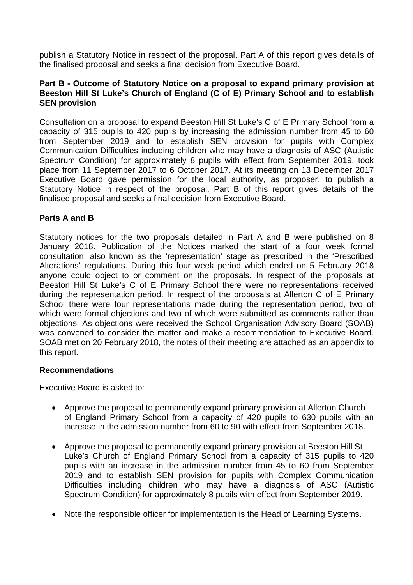publish a Statutory Notice in respect of the proposal. Part A of this report gives details of the finalised proposal and seeks a final decision from Executive Board.

### **Part B - Outcome of Statutory Notice on a proposal to expand primary provision at Beeston Hill St Luke's Church of England (C of E) Primary School and to establish SEN provision**

Consultation on a proposal to expand Beeston Hill St Luke's C of E Primary School from a capacity of 315 pupils to 420 pupils by increasing the admission number from 45 to 60 from September 2019 and to establish SEN provision for pupils with Complex Communication Difficulties including children who may have a diagnosis of ASC (Autistic Spectrum Condition) for approximately 8 pupils with effect from September 2019, took place from 11 September 2017 to 6 October 2017. At its meeting on 13 December 2017 Executive Board gave permission for the local authority, as proposer, to publish a Statutory Notice in respect of the proposal. Part B of this report gives details of the finalised proposal and seeks a final decision from Executive Board.

### **Parts A and B**

Statutory notices for the two proposals detailed in Part A and B were published on 8 January 2018. Publication of the Notices marked the start of a four week formal consultation, also known as the 'representation' stage as prescribed in the 'Prescribed Alterations' regulations. During this four week period which ended on 5 February 2018 anyone could object to or comment on the proposals. In respect of the proposals at Beeston Hill St Luke's C of E Primary School there were no representations received during the representation period. In respect of the proposals at Allerton C of E Primary School there were four representations made during the representation period, two of which were formal objections and two of which were submitted as comments rather than objections. As objections were received the School Organisation Advisory Board (SOAB) was convened to consider the matter and make a recommendation to Executive Board. SOAB met on 20 February 2018, the notes of their meeting are attached as an appendix to this report.

### **Recommendations**

Executive Board is asked to:

- Approve the proposal to permanently expand primary provision at Allerton Church of England Primary School from a capacity of 420 pupils to 630 pupils with an increase in the admission number from 60 to 90 with effect from September 2018.
- Approve the proposal to permanently expand primary provision at Beeston Hill St Luke's Church of England Primary School from a capacity of 315 pupils to 420 pupils with an increase in the admission number from 45 to 60 from September 2019 and to establish SEN provision for pupils with Complex Communication Difficulties including children who may have a diagnosis of ASC (Autistic Spectrum Condition) for approximately 8 pupils with effect from September 2019.
- Note the responsible officer for implementation is the Head of Learning Systems.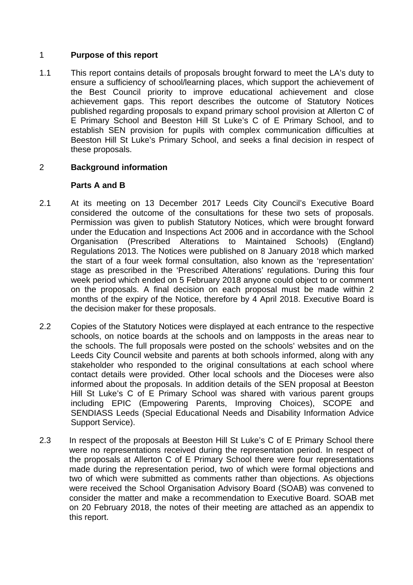## 1 **Purpose of this report**

1.1 This report contains details of proposals brought forward to meet the LA's duty to ensure a sufficiency of school/learning places, which support the achievement of the Best Council priority to improve educational achievement and close achievement gaps. This report describes the outcome of Statutory Notices published regarding proposals to expand primary school provision at Allerton C of E Primary School and Beeston Hill St Luke's C of E Primary School, and to establish SEN provision for pupils with complex communication difficulties at Beeston Hill St Luke's Primary School, and seeks a final decision in respect of these proposals.

## 2 **Background information**

### **Parts A and B**

- 2.1 At its meeting on 13 December 2017 Leeds City Council's Executive Board considered the outcome of the consultations for these two sets of proposals. Permission was given to publish Statutory Notices, which were brought forward under the Education and Inspections Act 2006 and in accordance with the School Organisation (Prescribed Alterations to Maintained Schools) (England) Regulations 2013. The Notices were published on 8 January 2018 which marked the start of a four week formal consultation, also known as the 'representation' stage as prescribed in the 'Prescribed Alterations' regulations. During this four week period which ended on 5 February 2018 anyone could object to or comment on the proposals. A final decision on each proposal must be made within 2 months of the expiry of the Notice, therefore by 4 April 2018. Executive Board is the decision maker for these proposals.
- 2.2 Copies of the Statutory Notices were displayed at each entrance to the respective schools, on notice boards at the schools and on lampposts in the areas near to the schools. The full proposals were posted on the schools' websites and on the Leeds City Council website and parents at both schools informed, along with any stakeholder who responded to the original consultations at each school where contact details were provided. Other local schools and the Dioceses were also informed about the proposals. In addition details of the SEN proposal at Beeston Hill St Luke's C of E Primary School was shared with various parent groups including EPIC (Empowering Parents, Improving Choices), SCOPE and SENDIASS Leeds (Special Educational Needs and Disability Information Advice Support Service).
- 2.3 In respect of the proposals at Beeston Hill St Luke's C of E Primary School there were no representations received during the representation period. In respect of the proposals at Allerton C of E Primary School there were four representations made during the representation period, two of which were formal objections and two of which were submitted as comments rather than objections. As objections were received the School Organisation Advisory Board (SOAB) was convened to consider the matter and make a recommendation to Executive Board. SOAB met on 20 February 2018, the notes of their meeting are attached as an appendix to this report.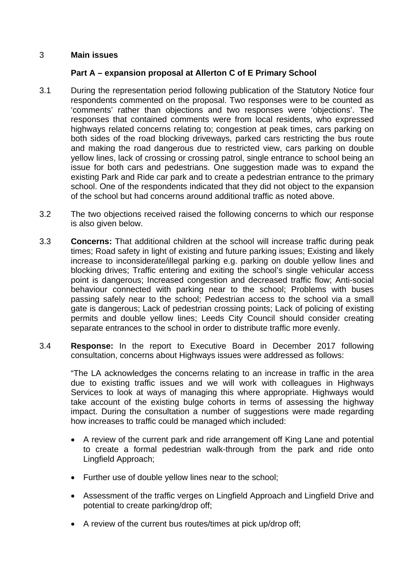### 3 **Main issues**

## **Part A – expansion proposal at Allerton C of E Primary School**

- 3.1 During the representation period following publication of the Statutory Notice four respondents commented on the proposal. Two responses were to be counted as 'comments' rather than objections and two responses were 'objections'. The responses that contained comments were from local residents, who expressed highways related concerns relating to; congestion at peak times, cars parking on both sides of the road blocking driveways, parked cars restricting the bus route and making the road dangerous due to restricted view, cars parking on double yellow lines, lack of crossing or crossing patrol, single entrance to school being an issue for both cars and pedestrians. One suggestion made was to expand the existing Park and Ride car park and to create a pedestrian entrance to the primary school. One of the respondents indicated that they did not object to the expansion of the school but had concerns around additional traffic as noted above.
- 3.2 The two objections received raised the following concerns to which our response is also given below.
- 3.3 **Concerns:** That additional children at the school will increase traffic during peak times; Road safety in light of existing and future parking issues; Existing and likely increase to inconsiderate/illegal parking e.g. parking on double yellow lines and blocking drives; Traffic entering and exiting the school's single vehicular access point is dangerous; Increased congestion and decreased traffic flow; Anti-social behaviour connected with parking near to the school; Problems with buses passing safely near to the school; Pedestrian access to the school via a small gate is dangerous; Lack of pedestrian crossing points; Lack of policing of existing permits and double yellow lines; Leeds City Council should consider creating separate entrances to the school in order to distribute traffic more evenly.
- 3.4 **Response:** In the report to Executive Board in December 2017 following consultation, concerns about Highways issues were addressed as follows:

"The LA acknowledges the concerns relating to an increase in traffic in the area due to existing traffic issues and we will work with colleagues in Highways Services to look at ways of managing this where appropriate. Highways would take account of the existing bulge cohorts in terms of assessing the highway impact. During the consultation a number of suggestions were made regarding how increases to traffic could be managed which included:

- A review of the current park and ride arrangement off King Lane and potential to create a formal pedestrian walk-through from the park and ride onto Lingfield Approach;
- Further use of double yellow lines near to the school;
- Assessment of the traffic verges on Lingfield Approach and Lingfield Drive and potential to create parking/drop off;
- A review of the current bus routes/times at pick up/drop off;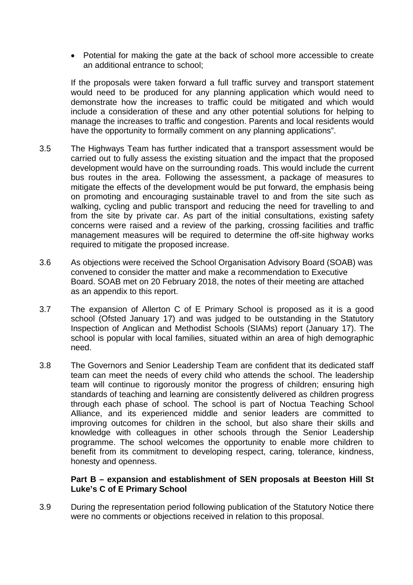Potential for making the gate at the back of school more accessible to create an additional entrance to school;

If the proposals were taken forward a full traffic survey and transport statement would need to be produced for any planning application which would need to demonstrate how the increases to traffic could be mitigated and which would include a consideration of these and any other potential solutions for helping to manage the increases to traffic and congestion. Parents and local residents would have the opportunity to formally comment on any planning applications".

- 3.5 The Highways Team has further indicated that a transport assessment would be carried out to fully assess the existing situation and the impact that the proposed development would have on the surrounding roads. This would include the current bus routes in the area. Following the assessment, a package of measures to mitigate the effects of the development would be put forward, the emphasis being on promoting and encouraging sustainable travel to and from the site such as walking, cycling and public transport and reducing the need for travelling to and from the site by private car. As part of the initial consultations, existing safety concerns were raised and a review of the parking, crossing facilities and traffic management measures will be required to determine the off-site highway works required to mitigate the proposed increase.
- 3.6 As objections were received the School Organisation Advisory Board (SOAB) was convened to consider the matter and make a recommendation to Executive Board. SOAB met on 20 February 2018, the notes of their meeting are attached as an appendix to this report.
- 3.7 The expansion of Allerton C of E Primary School is proposed as it is a good school (Ofsted January 17) and was judged to be outstanding in the Statutory Inspection of Anglican and Methodist Schools (SIAMs) report (January 17). The school is popular with local families, situated within an area of high demographic need.
- 3.8 The Governors and Senior Leadership Team are confident that its dedicated staff team can meet the needs of every child who attends the school. The leadership team will continue to rigorously monitor the progress of children; ensuring high standards of teaching and learning are consistently delivered as children progress through each phase of school. The school is part of Noctua Teaching School Alliance, and its experienced middle and senior leaders are committed to improving outcomes for children in the school, but also share their skills and knowledge with colleagues in other schools through the Senior Leadership programme. The school welcomes the opportunity to enable more children to benefit from its commitment to developing respect, caring, tolerance, kindness, honesty and openness.

### **Part B – expansion and establishment of SEN proposals at Beeston Hill St Luke's C of E Primary School**

3.9 During the representation period following publication of the Statutory Notice there were no comments or objections received in relation to this proposal.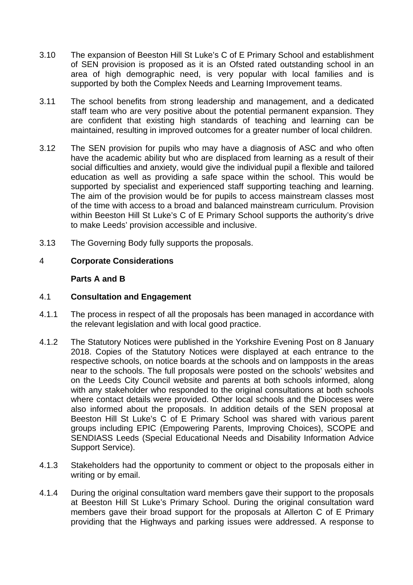- 3.10 The expansion of Beeston Hill St Luke's C of E Primary School and establishment of SEN provision is proposed as it is an Ofsted rated outstanding school in an area of high demographic need, is very popular with local families and is supported by both the Complex Needs and Learning Improvement teams.
- 3.11 The school benefits from strong leadership and management, and a dedicated staff team who are very positive about the potential permanent expansion. They are confident that existing high standards of teaching and learning can be maintained, resulting in improved outcomes for a greater number of local children.
- 3.12 The SEN provision for pupils who may have a diagnosis of ASC and who often have the academic ability but who are displaced from learning as a result of their social difficulties and anxiety, would give the individual pupil a flexible and tailored education as well as providing a safe space within the school. This would be supported by specialist and experienced staff supporting teaching and learning. The aim of the provision would be for pupils to access mainstream classes most of the time with access to a broad and balanced mainstream curriculum. Provision within Beeston Hill St Luke's C of E Primary School supports the authority's drive to make Leeds' provision accessible and inclusive.
- 3.13 The Governing Body fully supports the proposals.

## 4 **Corporate Considerations**

### **Parts A and B**

### 4.1 **Consultation and Engagement**

- 4.1.1 The process in respect of all the proposals has been managed in accordance with the relevant legislation and with local good practice.
- 4.1.2 The Statutory Notices were published in the Yorkshire Evening Post on 8 January 2018. Copies of the Statutory Notices were displayed at each entrance to the respective schools, on notice boards at the schools and on lampposts in the areas near to the schools. The full proposals were posted on the schools' websites and on the Leeds City Council website and parents at both schools informed, along with any stakeholder who responded to the original consultations at both schools where contact details were provided. Other local schools and the Dioceses were also informed about the proposals. In addition details of the SEN proposal at Beeston Hill St Luke's C of E Primary School was shared with various parent groups including EPIC (Empowering Parents, Improving Choices), SCOPE and SENDIASS Leeds (Special Educational Needs and Disability Information Advice Support Service).
- 4.1.3 Stakeholders had the opportunity to comment or object to the proposals either in writing or by email.
- 4.1.4 During the original consultation ward members gave their support to the proposals at Beeston Hill St Luke's Primary School. During the original consultation ward members gave their broad support for the proposals at Allerton C of E Primary providing that the Highways and parking issues were addressed. A response to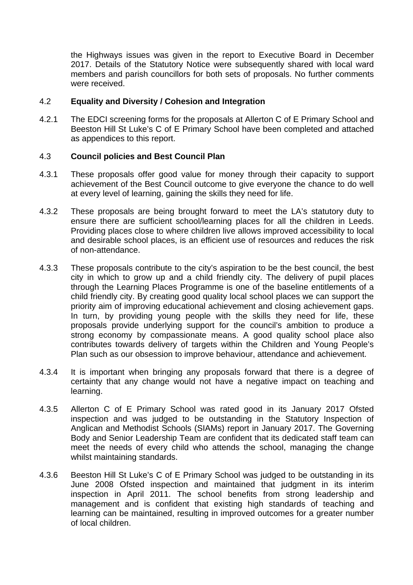the Highways issues was given in the report to Executive Board in December 2017. Details of the Statutory Notice were subsequently shared with local ward members and parish councillors for both sets of proposals. No further comments were received.

### 4.2 **Equality and Diversity / Cohesion and Integration**

4.2.1 The EDCI screening forms for the proposals at Allerton C of E Primary School and Beeston Hill St Luke's C of E Primary School have been completed and attached as appendices to this report.

### 4.3 **Council policies and Best Council Plan**

- 4.3.1 These proposals offer good value for money through their capacity to support achievement of the Best Council outcome to give everyone the chance to do well at every level of learning, gaining the skills they need for life.
- 4.3.2 These proposals are being brought forward to meet the LA's statutory duty to ensure there are sufficient school/learning places for all the children in Leeds. Providing places close to where children live allows improved accessibility to local and desirable school places, is an efficient use of resources and reduces the risk of non-attendance.
- 4.3.3 These proposals contribute to the city's aspiration to be the best council, the best city in which to grow up and a child friendly city. The delivery of pupil places through the Learning Places Programme is one of the baseline entitlements of a child friendly city. By creating good quality local school places we can support the priority aim of improving educational achievement and closing achievement gaps. In turn, by providing young people with the skills they need for life, these proposals provide underlying support for the council's ambition to produce a strong economy by compassionate means. A good quality school place also contributes towards delivery of targets within the Children and Young People's Plan such as our obsession to improve behaviour, attendance and achievement.
- 4.3.4 It is important when bringing any proposals forward that there is a degree of certainty that any change would not have a negative impact on teaching and learning.
- 4.3.5 Allerton C of E Primary School was rated good in its January 2017 Ofsted inspection and was judged to be outstanding in the Statutory Inspection of Anglican and Methodist Schools (SIAMs) report in January 2017. The Governing Body and Senior Leadership Team are confident that its dedicated staff team can meet the needs of every child who attends the school, managing the change whilst maintaining standards.
- 4.3.6 Beeston Hill St Luke's C of E Primary School was judged to be outstanding in its June 2008 Ofsted inspection and maintained that judgment in its interim inspection in April 2011. The school benefits from strong leadership and management and is confident that existing high standards of teaching and learning can be maintained, resulting in improved outcomes for a greater number of local children.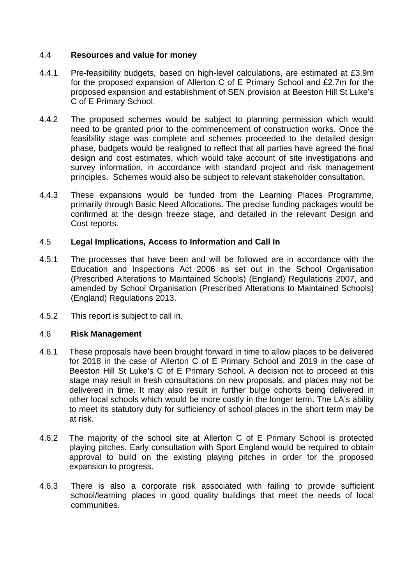### 4.4 **Resources and value for money**

- 4.4.1 Pre-feasibility budgets, based on high-level calculations, are estimated at £3.9m for the proposed expansion of Allerton C of E Primary School and £2.7m for the proposed expansion and establishment of SEN provision at Beeston Hill St Luke's C of E Primary School.
- 4.4.2 The proposed schemes would be subject to planning permission which would need to be granted prior to the commencement of construction works. Once the feasibility stage was complete and schemes proceeded to the detailed design phase, budgets would be realigned to reflect that all parties have agreed the final design and cost estimates, which would take account of site investigations and survey information, in accordance with standard project and risk management principles. Schemes would also be subject to relevant stakeholder consultation.
- 4.4.3 These expansions would be funded from the Learning Places Programme, primarily through Basic Need Allocations. The precise funding packages would be confirmed at the design freeze stage, and detailed in the relevant Design and Cost reports.

### 4.5 **Legal Implications, Access to Information and Call In**

- 4.5.1 The processes that have been and will be followed are in accordance with the Education and Inspections Act 2006 as set out in the School Organisation (Prescribed Alterations to Maintained Schools) (England) Regulations 2007, and amended by School Organisation (Prescribed Alterations to Maintained Schools) (England) Regulations 2013.
- 4.5.2 This report is subject to call in.

### 4.6 **Risk Management**

- 4.6.1 These proposals have been brought forward in time to allow places to be delivered for 2018 in the case of Allerton C of E Primary School and 2019 in the case of Beeston Hill St Luke's C of E Primary School. A decision not to proceed at this stage may result in fresh consultations on new proposals, and places may not be delivered in time. It may also result in further bulge cohorts being delivered in other local schools which would be more costly in the longer term. The LA's ability to meet its statutory duty for sufficiency of school places in the short term may be at risk.
- 4.6.2 The majority of the school site at Allerton C of E Primary School is protected playing pitches. Early consultation with Sport England would be required to obtain approval to build on the existing playing pitches in order for the proposed expansion to progress.
- 4.6.3 There is also a corporate risk associated with failing to provide sufficient school/learning places in good quality buildings that meet the needs of local communities.